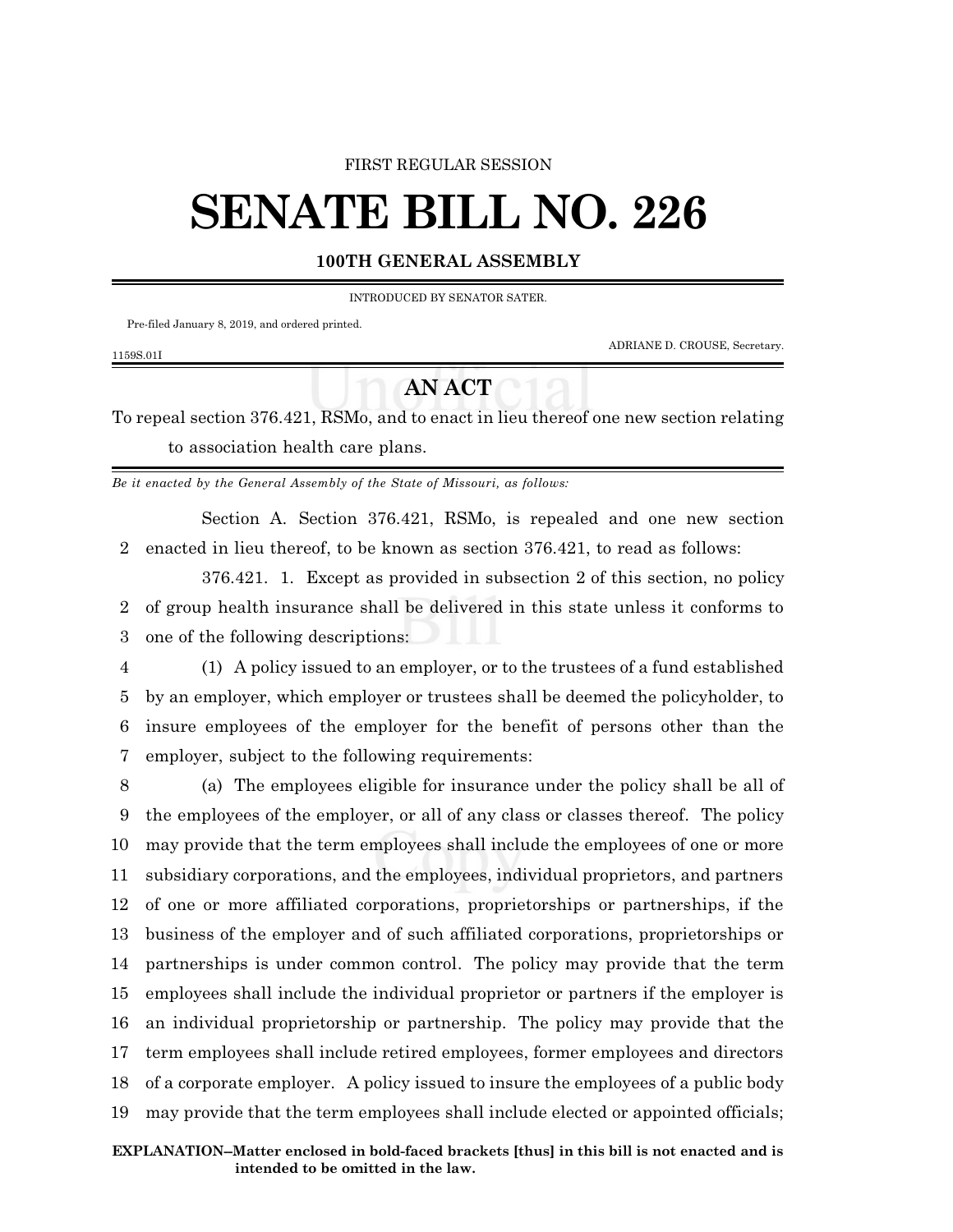## FIRST REGULAR SESSION

## **SENATE BILL NO. 226**

## **100TH GENERAL ASSEMBLY**

INTRODUCED BY SENATOR SATER.

Pre-filed January 8, 2019, and ordered printed.

1159S.01I

ADRIANE D. CROUSE, Secretary.

## **AN ACT**

To repeal section 376.421, RSMo, and to enact in lieu thereof one new section relating to association health care plans.

*Be it enacted by the General Assembly of the State of Missouri, as follows:*

Section A. Section 376.421, RSMo, is repealed and one new section 2 enacted in lieu thereof, to be known as section 376.421, to read as follows:

376.421. 1. Except as provided in subsection 2 of this section, no policy 2 of group health insurance shall be delivered in this state unless it conforms to 3 one of the following descriptions:

 (1) A policy issued to an employer, or to the trustees of a fund established by an employer, which employer or trustees shall be deemed the policyholder, to insure employees of the employer for the benefit of persons other than the employer, subject to the following requirements:

 (a) The employees eligible for insurance under the policy shall be all of the employees of the employer, or all of any class or classes thereof. The policy may provide that the term employees shall include the employees of one or more subsidiary corporations, and the employees, individual proprietors, and partners of one or more affiliated corporations, proprietorships or partnerships, if the business of the employer and of such affiliated corporations, proprietorships or partnerships is under common control. The policy may provide that the term employees shall include the individual proprietor or partners if the employer is an individual proprietorship or partnership. The policy may provide that the term employees shall include retired employees, former employees and directors of a corporate employer. A policy issued to insure the employees of a public body may provide that the term employees shall include elected or appointed officials;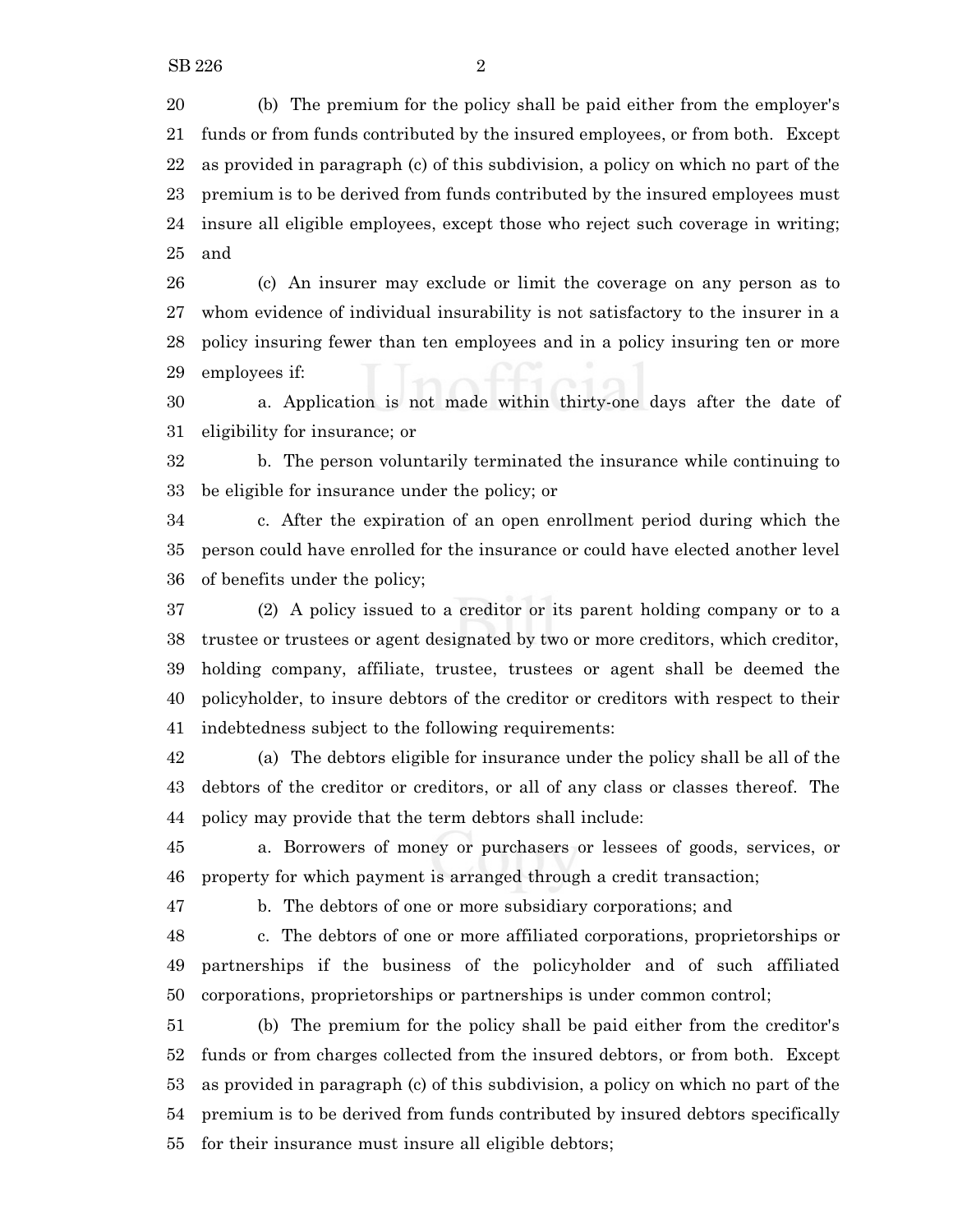(b) The premium for the policy shall be paid either from the employer's funds or from funds contributed by the insured employees, or from both. Except as provided in paragraph (c) of this subdivision, a policy on which no part of the premium is to be derived from funds contributed by the insured employees must insure all eligible employees, except those who reject such coverage in writing; and

 (c) An insurer may exclude or limit the coverage on any person as to whom evidence of individual insurability is not satisfactory to the insurer in a policy insuring fewer than ten employees and in a policy insuring ten or more employees if:

 a. Application is not made within thirty-one days after the date of eligibility for insurance; or

 b. The person voluntarily terminated the insurance while continuing to be eligible for insurance under the policy; or

 c. After the expiration of an open enrollment period during which the person could have enrolled for the insurance or could have elected another level of benefits under the policy;

 (2) A policy issued to a creditor or its parent holding company or to a trustee or trustees or agent designated by two or more creditors, which creditor, holding company, affiliate, trustee, trustees or agent shall be deemed the policyholder, to insure debtors of the creditor or creditors with respect to their indebtedness subject to the following requirements:

 (a) The debtors eligible for insurance under the policy shall be all of the 43 debtors of the creditor or creditors, or all of any class or classes thereof. The policy may provide that the term debtors shall include:

 a. Borrowers of money or purchasers or lessees of goods, services, or property for which payment is arranged through a credit transaction;

b. The debtors of one or more subsidiary corporations; and

 c. The debtors of one or more affiliated corporations, proprietorships or partnerships if the business of the policyholder and of such affiliated corporations, proprietorships or partnerships is under common control;

 (b) The premium for the policy shall be paid either from the creditor's funds or from charges collected from the insured debtors, or from both. Except as provided in paragraph (c) of this subdivision, a policy on which no part of the premium is to be derived from funds contributed by insured debtors specifically for their insurance must insure all eligible debtors;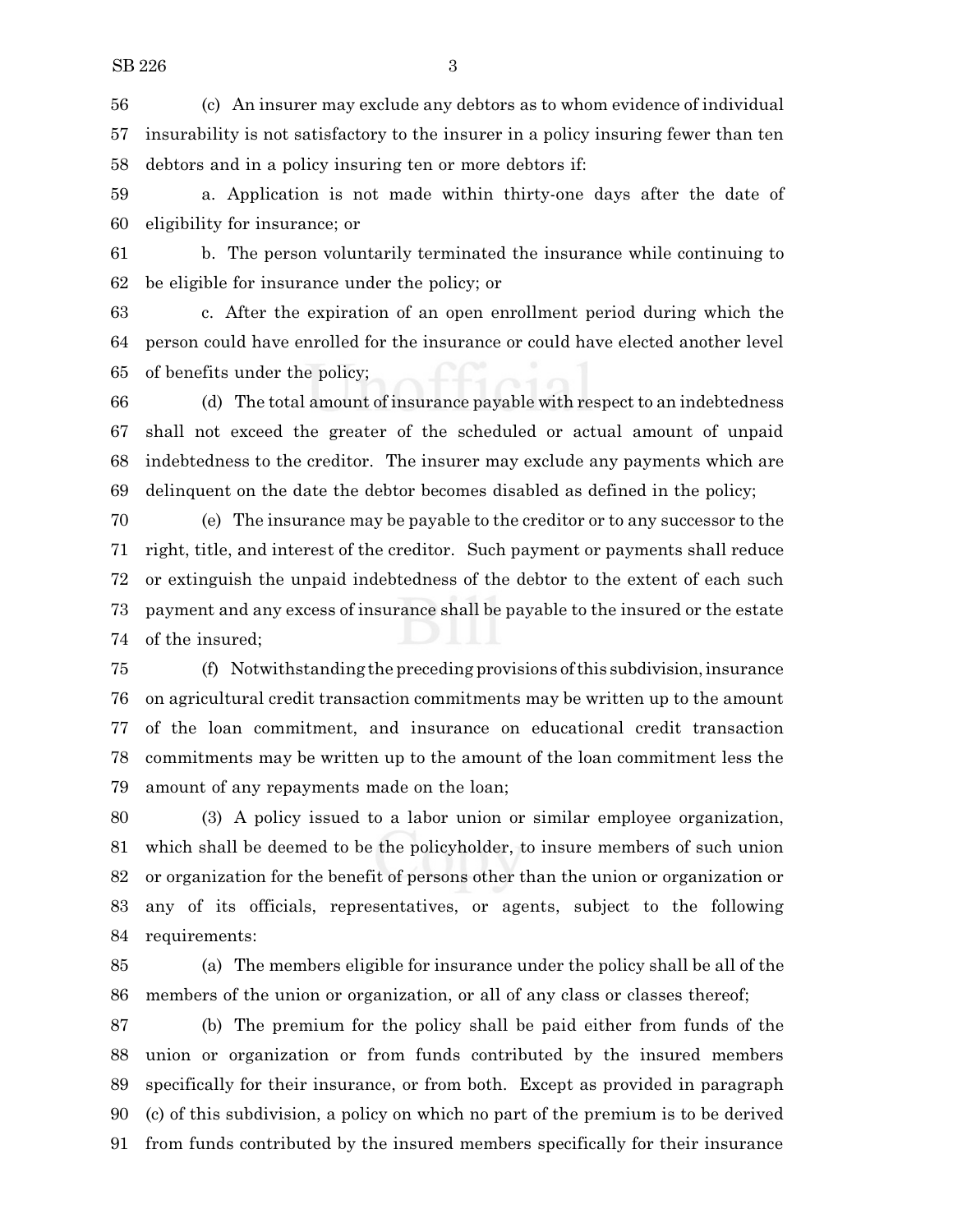(c) An insurer may exclude any debtors as to whom evidence of individual insurability is not satisfactory to the insurer in a policy insuring fewer than ten debtors and in a policy insuring ten or more debtors if:

 a. Application is not made within thirty-one days after the date of eligibility for insurance; or

 b. The person voluntarily terminated the insurance while continuing to be eligible for insurance under the policy; or

 c. After the expiration of an open enrollment period during which the person could have enrolled for the insurance or could have elected another level of benefits under the policy;

 (d) The total amount of insurance payable with respect to an indebtedness shall not exceed the greater of the scheduled or actual amount of unpaid indebtedness to the creditor. The insurer may exclude any payments which are delinquent on the date the debtor becomes disabled as defined in the policy;

 (e) The insurance may be payable to the creditor or to any successor to the right, title, and interest of the creditor. Such payment or payments shall reduce or extinguish the unpaid indebtedness of the debtor to the extent of each such payment and any excess of insurance shall be payable to the insured or the estate of the insured;

 (f) Notwithstanding the preceding provisions ofthis subdivision,insurance on agricultural credit transaction commitments may be written up to the amount of the loan commitment, and insurance on educational credit transaction commitments may be written up to the amount of the loan commitment less the amount of any repayments made on the loan;

 (3) A policy issued to a labor union or similar employee organization, which shall be deemed to be the policyholder, to insure members of such union or organization for the benefit of persons other than the union or organization or any of its officials, representatives, or agents, subject to the following requirements:

 (a) The members eligible for insurance under the policy shall be all of the 86 members of the union or organization, or all of any class or classes thereof;

 (b) The premium for the policy shall be paid either from funds of the union or organization or from funds contributed by the insured members specifically for their insurance, or from both. Except as provided in paragraph (c) of this subdivision, a policy on which no part of the premium is to be derived from funds contributed by the insured members specifically for their insurance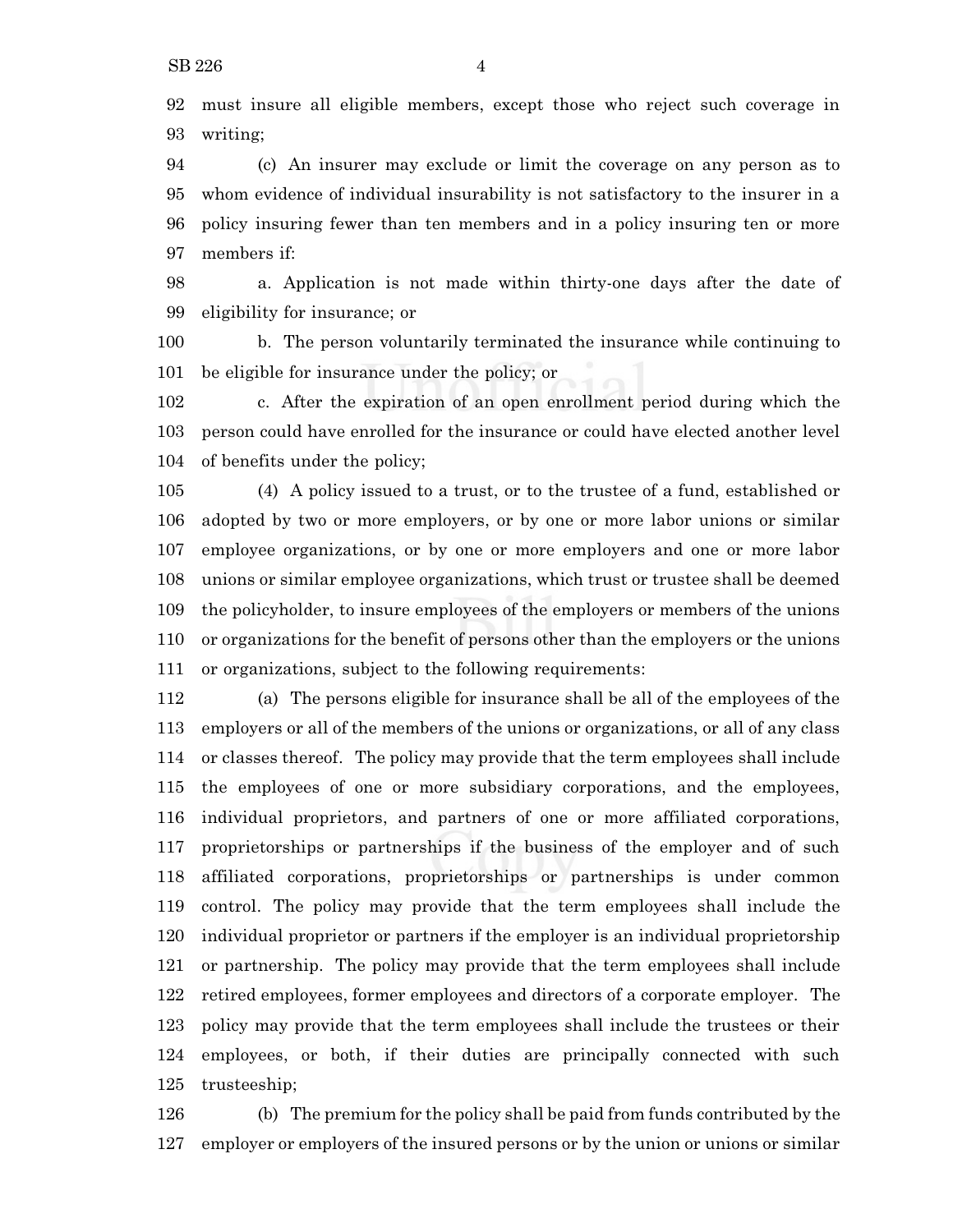must insure all eligible members, except those who reject such coverage in writing;

 (c) An insurer may exclude or limit the coverage on any person as to whom evidence of individual insurability is not satisfactory to the insurer in a policy insuring fewer than ten members and in a policy insuring ten or more members if:

 a. Application is not made within thirty-one days after the date of eligibility for insurance; or

 b. The person voluntarily terminated the insurance while continuing to be eligible for insurance under the policy; or

 c. After the expiration of an open enrollment period during which the person could have enrolled for the insurance or could have elected another level of benefits under the policy;

 (4) A policy issued to a trust, or to the trustee of a fund, established or adopted by two or more employers, or by one or more labor unions or similar employee organizations, or by one or more employers and one or more labor unions or similar employee organizations, which trust or trustee shall be deemed the policyholder, to insure employees of the employers or members of the unions or organizations for the benefit of persons other than the employers or the unions or organizations, subject to the following requirements:

 (a) The persons eligible for insurance shall be all of the employees of the employers or all of the members of the unions or organizations, or all of any class or classes thereof. The policy may provide that the term employees shall include the employees of one or more subsidiary corporations, and the employees, individual proprietors, and partners of one or more affiliated corporations, proprietorships or partnerships if the business of the employer and of such affiliated corporations, proprietorships or partnerships is under common control. The policy may provide that the term employees shall include the individual proprietor or partners if the employer is an individual proprietorship or partnership. The policy may provide that the term employees shall include retired employees, former employees and directors of a corporate employer. The policy may provide that the term employees shall include the trustees or their employees, or both, if their duties are principally connected with such trusteeship;

 (b) The premium for the policy shall be paid from funds contributed by the employer or employers of the insured persons or by the union or unions or similar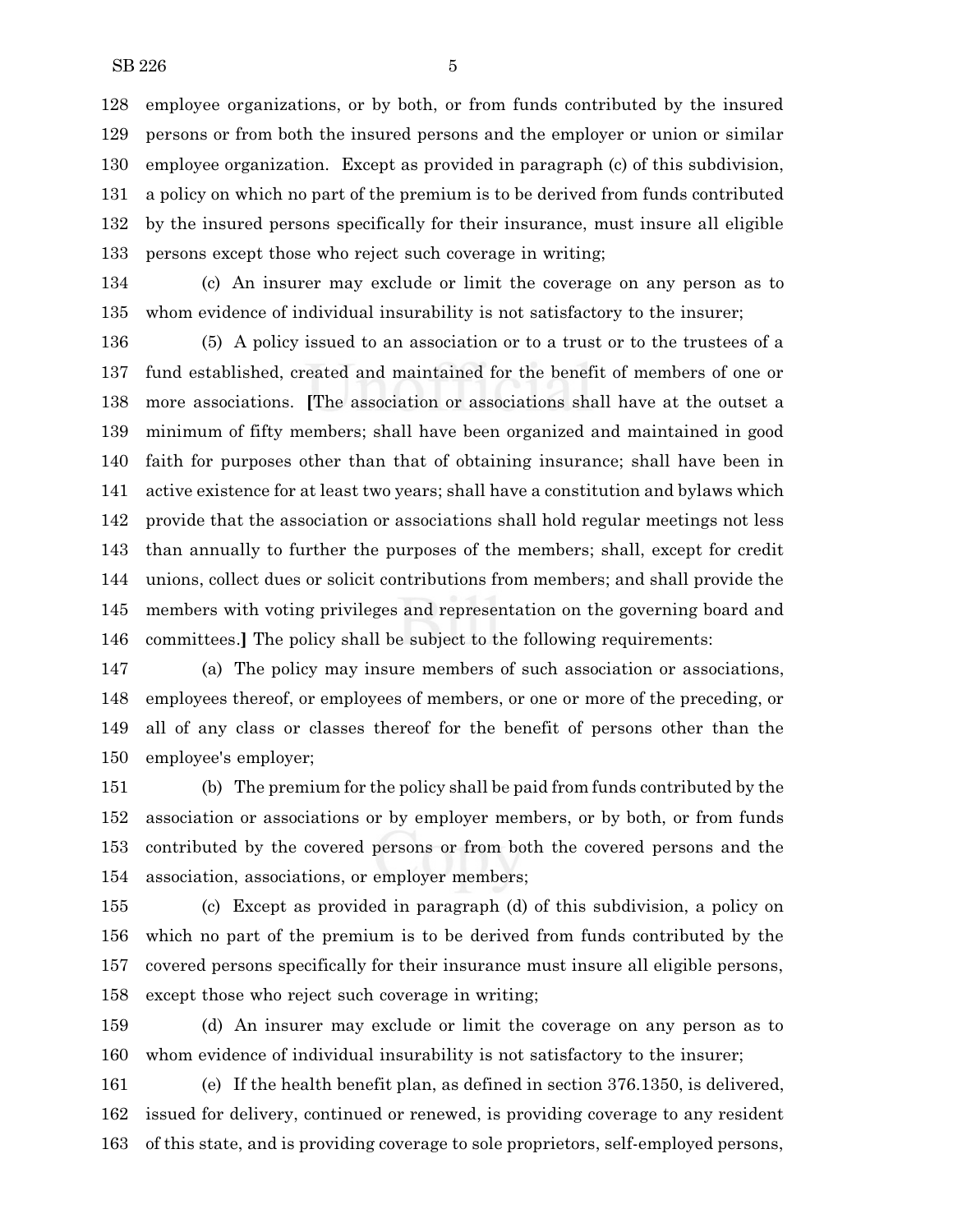employee organizations, or by both, or from funds contributed by the insured persons or from both the insured persons and the employer or union or similar employee organization. Except as provided in paragraph (c) of this subdivision, a policy on which no part of the premium is to be derived from funds contributed by the insured persons specifically for their insurance, must insure all eligible persons except those who reject such coverage in writing;

 (c) An insurer may exclude or limit the coverage on any person as to whom evidence of individual insurability is not satisfactory to the insurer;

 (5) A policy issued to an association or to a trust or to the trustees of a fund established, created and maintained for the benefit of members of one or more associations. **[**The association or associations shall have at the outset a minimum of fifty members; shall have been organized and maintained in good faith for purposes other than that of obtaining insurance; shall have been in active existence for at least two years; shall have a constitution and bylaws which provide that the association or associations shall hold regular meetings not less than annually to further the purposes of the members; shall, except for credit unions, collect dues or solicit contributions from members; and shall provide the members with voting privileges and representation on the governing board and committees.**]** The policy shall be subject to the following requirements:

 (a) The policy may insure members of such association or associations, employees thereof, or employees of members, or one or more of the preceding, or all of any class or classes thereof for the benefit of persons other than the employee's employer;

 (b) The premium for the policy shall be paid from funds contributed by the association or associations or by employer members, or by both, or from funds contributed by the covered persons or from both the covered persons and the association, associations, or employer members;

 (c) Except as provided in paragraph (d) of this subdivision, a policy on which no part of the premium is to be derived from funds contributed by the covered persons specifically for their insurance must insure all eligible persons, except those who reject such coverage in writing;

 (d) An insurer may exclude or limit the coverage on any person as to whom evidence of individual insurability is not satisfactory to the insurer;

 (e) If the health benefit plan, as defined in section 376.1350, is delivered, issued for delivery, continued or renewed, is providing coverage to any resident of this state, and is providing coverage to sole proprietors, self-employed persons,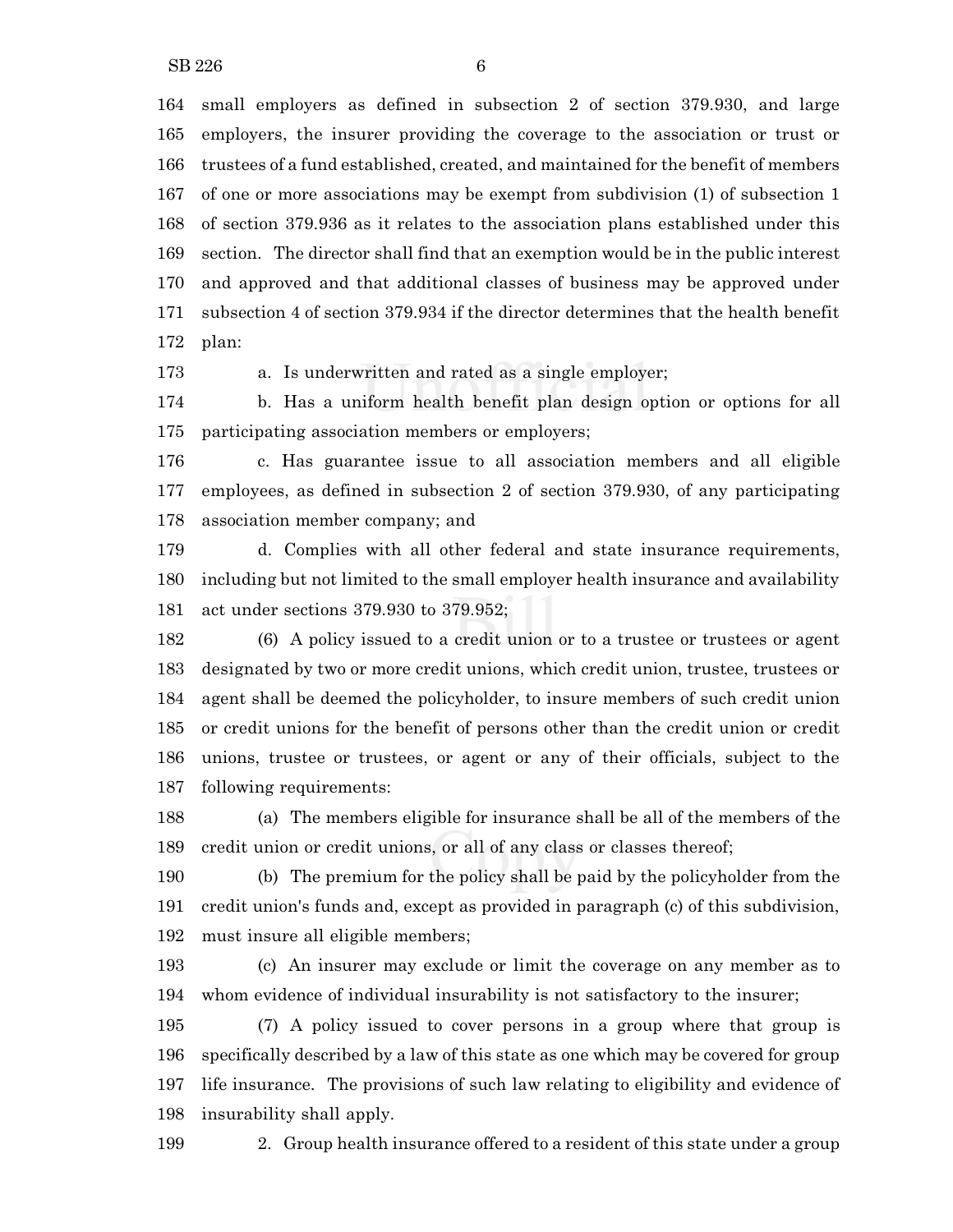$SB 226$  6

 small employers as defined in subsection 2 of section 379.930, and large employers, the insurer providing the coverage to the association or trust or trustees of a fund established, created, and maintained for the benefit of members of one or more associations may be exempt from subdivision (1) of subsection 1 of section 379.936 as it relates to the association plans established under this section. The director shall find that an exemption would be in the public interest and approved and that additional classes of business may be approved under subsection 4 of section 379.934 if the director determines that the health benefit plan:

a. Is underwritten and rated as a single employer;

 b. Has a uniform health benefit plan design option or options for all participating association members or employers;

 c. Has guarantee issue to all association members and all eligible employees, as defined in subsection 2 of section 379.930, of any participating association member company; and

 d. Complies with all other federal and state insurance requirements, including but not limited to the small employer health insurance and availability act under sections 379.930 to 379.952;

 (6) A policy issued to a credit union or to a trustee or trustees or agent designated by two or more credit unions, which credit union, trustee, trustees or agent shall be deemed the policyholder, to insure members of such credit union or credit unions for the benefit of persons other than the credit union or credit unions, trustee or trustees, or agent or any of their officials, subject to the following requirements:

 (a) The members eligible for insurance shall be all of the members of the 189 credit union or credit unions, or all of any class or classes thereof;

 (b) The premium for the policy shall be paid by the policyholder from the credit union's funds and, except as provided in paragraph (c) of this subdivision, must insure all eligible members;

 (c) An insurer may exclude or limit the coverage on any member as to whom evidence of individual insurability is not satisfactory to the insurer;

 (7) A policy issued to cover persons in a group where that group is specifically described by a law of this state as one which may be covered for group life insurance. The provisions of such law relating to eligibility and evidence of insurability shall apply.

2. Group health insurance offered to a resident of this state under a group